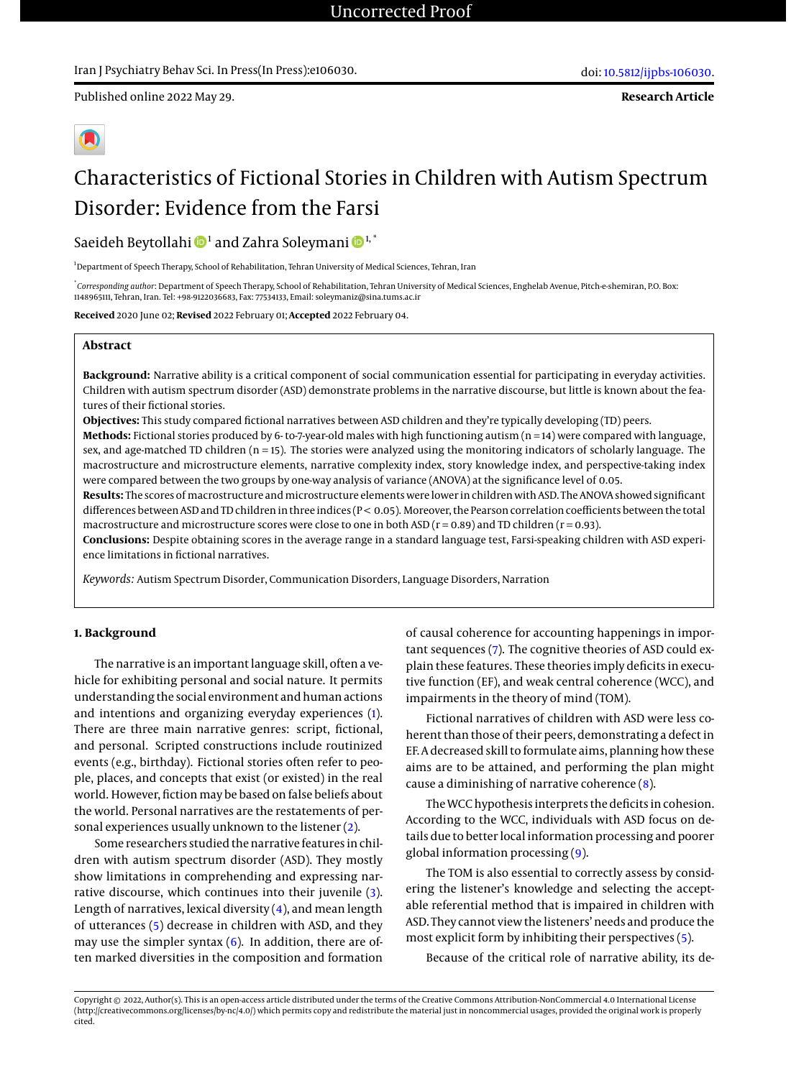## Iran J Psychiatry Behav Sci. In Press(In Press):e106030.

Published online 2022 May 29.

**Research Article**

# Characteristics of Fictional Stories in Children with Autism Spectrum Disorder: Evidence from the Farsi

Saeideh Beytollahi  $\mathbf{\Phi}^{1}$  and Zahra Soleymani  $\mathbf{\Phi}^{1, *}$ 

<sup>1</sup>Department of Speech Therapy, School of Rehabilitation, Tehran University of Medical Sciences, Tehran, Iran

\* *Corresponding author*: Department of Speech Therapy, School of Rehabilitation, Tehran University of Medical Sciences, Enghelab Avenue, Pitch-e-shemiran, P.O. Box: 1148965111, Tehran, Iran. Tel: +98-9122036683, Fax: 77534133, Email: soleymaniz@sina.tums.ac.ir

**Received** 2020 June 02; **Revised** 2022 February 01; **Accepted** 2022 February 04.

## **Abstract**

**Background:** Narrative ability is a critical component of social communication essential for participating in everyday activities. Children with autism spectrum disorder (ASD) demonstrate problems in the narrative discourse, but little is known about the features of their fictional stories.

**Objectives:** This study compared fictional narratives between ASD children and they're typically developing (TD) peers.

**Methods:** Fictional stories produced by 6- to-7-year-old males with high functioning autism (n = 14) were compared with language, sex, and age-matched TD children (n = 15). The stories were analyzed using the monitoring indicators of scholarly language. The macrostructure and microstructure elements, narrative complexity index, story knowledge index, and perspective-taking index were compared between the two groups by one-way analysis of variance (ANOVA) at the significance level of 0.05.

**Results:** The scores of macrostructure andmicrostructure elements were lower in children with ASD. The ANOVA showed significant differences between ASD and TD children in three indices (P < 0.05). Moreover, the Pearson correlation coefficients between the total macrostructure and microstructure scores were close to one in both ASD ( $r = 0.89$ ) and TD children ( $r = 0.93$ ).

**Conclusions:** Despite obtaining scores in the average range in a standard language test, Farsi-speaking children with ASD experience limitations in fictional narratives.

*Keywords:* Autism Spectrum Disorder, Communication Disorders, Language Disorders, Narration

# **1. Background**

The narrative is an important language skill, often a vehicle for exhibiting personal and social nature. It permits understanding the social environment and human actions and intentions and organizing everyday experiences [\(1\)](#page-3-0). There are three main narrative genres: script, fictional, and personal. Scripted constructions include routinized events (e.g., birthday). Fictional stories often refer to people, places, and concepts that exist (or existed) in the real world. However, fiction may be based on false beliefs about the world. Personal narratives are the restatements of personal experiences usually unknown to the listener [\(2\)](#page-3-1).

Some researchers studied the narrative features in children with autism spectrum disorder (ASD). They mostly show limitations in comprehending and expressing narrative discourse, which continues into their juvenile [\(3\)](#page-4-0). Length of narratives, lexical diversity  $(4)$ , and mean length of utterances [\(5\)](#page-4-2) decrease in children with ASD, and they may use the simpler syntax  $(6)$ . In addition, there are often marked diversities in the composition and formation

of causal coherence for accounting happenings in important sequences [\(7\)](#page-4-4). The cognitive theories of ASD could explain these features. These theories imply deficits in executive function (EF), and weak central coherence (WCC), and impairments in the theory of mind (TOM).

Fictional narratives of children with ASD were less coherent than those of their peers, demonstrating a defect in EF. A decreased skill to formulate aims, planning how these aims are to be attained, and performing the plan might cause a diminishing of narrative coherence [\(8\)](#page-4-5).

TheWCC hypothesis interprets the deficits in cohesion. According to the WCC, individuals with ASD focus on details due to better local information processing and poorer global information processing [\(9\)](#page-4-6).

The TOM is also essential to correctly assess by considering the listener's knowledge and selecting the acceptable referential method that is impaired in children with ASD. They cannot view the listeners' needs and produce the most explicit form by inhibiting their perspectives [\(5\)](#page-4-2).

Because of the critical role of narrative ability, its de-

Copyright © 2022, Author(s). This is an open-access article distributed under the terms of the Creative Commons Attribution-NonCommercial 4.0 International License (http://creativecommons.org/licenses/by-nc/4.0/) which permits copy and redistribute the material just in noncommercial usages, provided the original work is properly cited.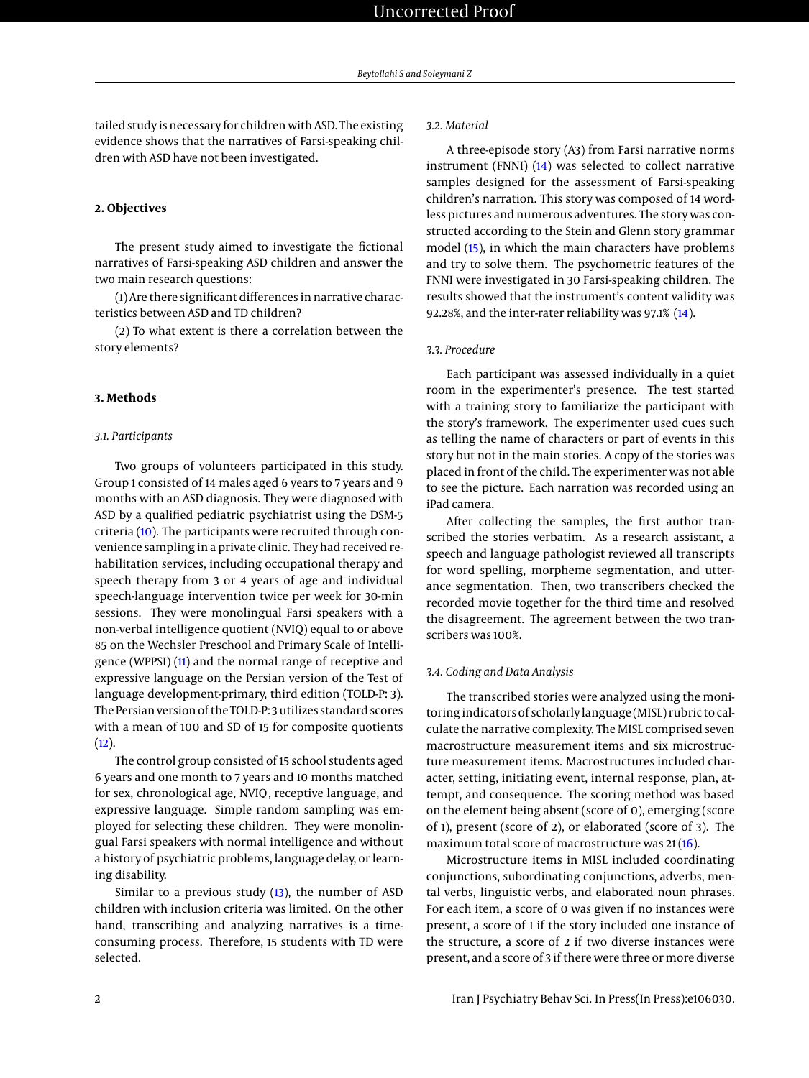tailed study is necessary for children with ASD. The existing evidence shows that the narratives of Farsi-speaking children with ASD have not been investigated.

# **2. Objectives**

The present study aimed to investigate the fictional narratives of Farsi-speaking ASD children and answer the two main research questions:

(1) Are there significant differences in narrative characteristics between ASD and TD children?

(2) To what extent is there a correlation between the story elements?

#### **3. Methods**

#### *3.1. Participants*

Two groups of volunteers participated in this study. Group 1 consisted of 14 males aged 6 years to 7 years and 9 months with an ASD diagnosis. They were diagnosed with ASD by a qualified pediatric psychiatrist using the DSM-5 criteria [\(10\)](#page-4-7). The participants were recruited through convenience sampling in a private clinic. They had received rehabilitation services, including occupational therapy and speech therapy from 3 or 4 years of age and individual speech-language intervention twice per week for 30-min sessions. They were monolingual Farsi speakers with a non-verbal intelligence quotient (NVIQ) equal to or above 85 on the Wechsler Preschool and Primary Scale of Intelli-gence (WPPSI) [\(11\)](#page-4-8) and the normal range of receptive and expressive language on the Persian version of the Test of language development-primary, third edition (TOLD-P: 3). The Persian version of the TOLD-P: 3 utilizes standard scores with a mean of 100 and SD of 15 for composite quotients  $(12).$  $(12).$ 

The control group consisted of 15 school students aged 6 years and one month to 7 years and 10 months matched for sex, chronological age, NVIQ, receptive language, and expressive language. Simple random sampling was employed for selecting these children. They were monolingual Farsi speakers with normal intelligence and without a history of psychiatric problems, language delay, or learning disability.

Similar to a previous study  $(13)$ , the number of ASD children with inclusion criteria was limited. On the other hand, transcribing and analyzing narratives is a timeconsuming process. Therefore, 15 students with TD were selected.

## *3.2. Material*

A three-episode story (A3) from Farsi narrative norms instrument (FNNI) [\(14\)](#page-4-11) was selected to collect narrative samples designed for the assessment of Farsi-speaking children's narration. This story was composed of 14 wordless pictures and numerous adventures. The story was constructed according to the Stein and Glenn story grammar model [\(15\)](#page-4-12), in which the main characters have problems and try to solve them. The psychometric features of the FNNI were investigated in 30 Farsi-speaking children. The results showed that the instrument's content validity was 92.28%, and the inter-rater reliability was 97.1% [\(14\)](#page-4-11).

## *3.3. Procedure*

Each participant was assessed individually in a quiet room in the experimenter's presence. The test started with a training story to familiarize the participant with the story's framework. The experimenter used cues such as telling the name of characters or part of events in this story but not in the main stories. A copy of the stories was placed in front of the child. The experimenter was not able to see the picture. Each narration was recorded using an iPad camera.

After collecting the samples, the first author transcribed the stories verbatim. As a research assistant, a speech and language pathologist reviewed all transcripts for word spelling, morpheme segmentation, and utterance segmentation. Then, two transcribers checked the recorded movie together for the third time and resolved the disagreement. The agreement between the two transcribers was 100%.

#### *3.4. Coding and Data Analysis*

The transcribed stories were analyzed using the monitoring indicators of scholarly language (MISL) rubric to calculate the narrative complexity. The MISL comprised seven macrostructure measurement items and six microstructure measurement items. Macrostructures included character, setting, initiating event, internal response, plan, attempt, and consequence. The scoring method was based on the element being absent (score of 0), emerging (score of 1), present (score of 2), or elaborated (score of 3). The maximum total score of macrostructure was 21 [\(16\)](#page-4-13).

Microstructure items in MISL included coordinating conjunctions, subordinating conjunctions, adverbs, mental verbs, linguistic verbs, and elaborated noun phrases. For each item, a score of 0 was given if no instances were present, a score of 1 if the story included one instance of the structure, a score of 2 if two diverse instances were present, and a score of 3 if there were three or more diverse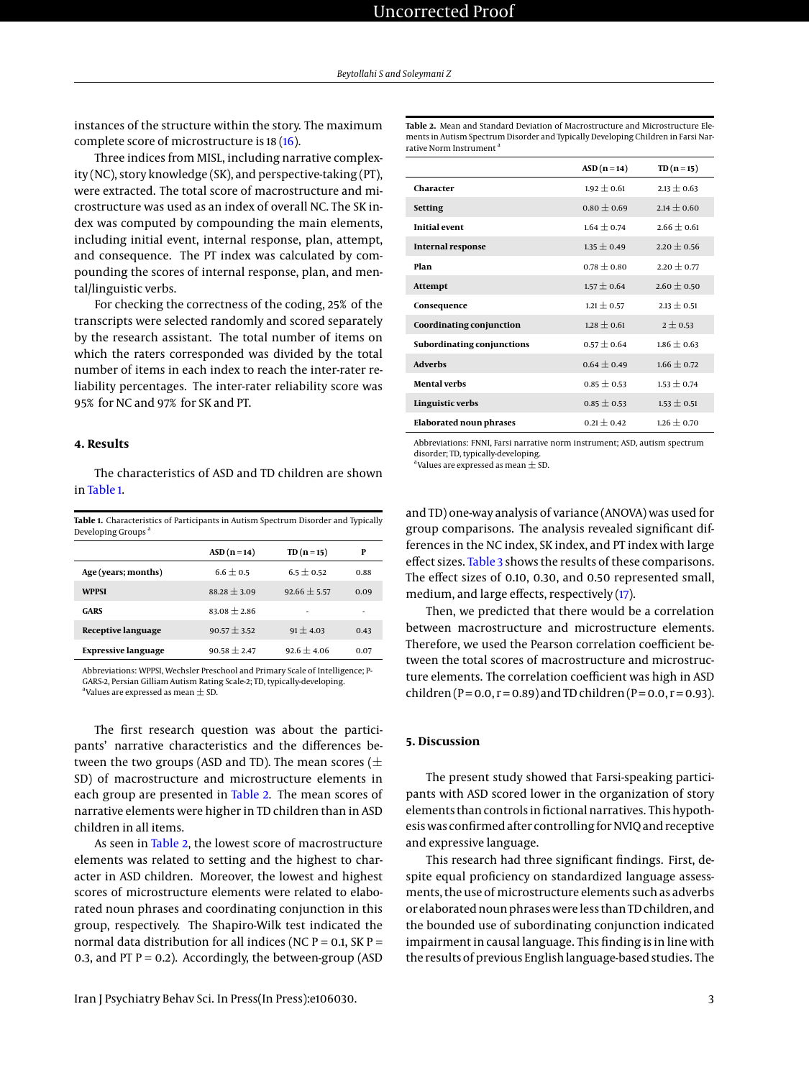instances of the structure within the story. The maximum complete score of microstructure is 18 [\(16\)](#page-4-13).

Three indices from MISL, including narrative complexity (NC), story knowledge (SK), and perspective-taking (PT), were extracted. The total score of macrostructure and microstructure was used as an index of overall NC. The SK index was computed by compounding the main elements, including initial event, internal response, plan, attempt, and consequence. The PT index was calculated by compounding the scores of internal response, plan, and mental/linguistic verbs.

For checking the correctness of the coding, 25% of the transcripts were selected randomly and scored separately by the research assistant. The total number of items on which the raters corresponded was divided by the total number of items in each index to reach the inter-rater reliability percentages. The inter-rater reliability score was 95% for NC and 97% for SK and PT.

#### **4. Results**

The characteristics of ASD and TD children are shown in [Table 1.](#page-2-0)

<span id="page-2-0"></span>**Table 1.** Characteristics of Participants in Autism Spectrum Disorder and Typically Developing Groups<sup>a</sup>

|                            | $ASD(n=14)$      | $TD(n=15)$     | Р    |
|----------------------------|------------------|----------------|------|
| Age (years; months)        | $6.6 + 0.5$      | $6.5 + 0.52$   | 0.88 |
| <b>WPPSI</b>               | $88.28 + 3.09$   | $92.66 + 5.57$ | 0.09 |
| GARS                       | $83.08 + 2.86$   | ۰              |      |
| Receptive language         | $90.57 \pm 3.52$ | $91 + 4.03$    | 0.43 |
| <b>Expressive language</b> | $90.58 + 2.47$   | $92.6 + 4.06$  | 0.07 |

Abbreviations: WPPSI, Wechsler Preschool and Primary Scale of Intelligence; P-GARS-2, Persian Gilliam Autism Rating Scale-2; TD, typically-developing.  $^{\rm a}$ Values are expressed as mean  $\pm$  SD.

The first research question was about the participants' narrative characteristics and the differences between the two groups (ASD and TD). The mean scores ( $\pm$ SD) of macrostructure and microstructure elements in each group are presented in [Table 2.](#page-2-1) The mean scores of narrative elements were higher in TD children than in ASD children in all items.

As seen in [Table 2,](#page-2-1) the lowest score of macrostructure elements was related to setting and the highest to character in ASD children. Moreover, the lowest and highest scores of microstructure elements were related to elaborated noun phrases and coordinating conjunction in this group, respectively. The Shapiro-Wilk test indicated the normal data distribution for all indices (NC  $P = 0.1$ , SK  $P =$ 0.3, and PT  $P = 0.2$ ). Accordingly, the between-group (ASD

<span id="page-2-1"></span>**Table 2.** Mean and Standard Deviation of Macrostructure and Microstructure Elements in Autism Spectrum Disorder and Typically Developing Children in Farsi Narrative Norm Instrument<sup>a</sup>

|                                | $ASD(n=14)$     | $TD(n=15)$      |
|--------------------------------|-----------------|-----------------|
| Character                      | $1.92 + 0.61$   | $2.13 + 0.63$   |
| Setting                        | $0.80 + 0.69$   | $2.14 + 0.60$   |
| <b>Initial event</b>           | $1.64 + 0.74$   | $2.66 + 0.61$   |
| <b>Internal response</b>       | $1.35 + 0.49$   | $2.20 + 0.56$   |
| Plan                           | $0.78 + 0.80$   | $2.20 + 0.77$   |
| Attempt                        | $1.57 + 0.64$   | $2.60 + 0.50$   |
| Consequence                    | $1.21 + 0.57$   | $2.13 + 0.51$   |
| Coordinating conjunction       | $1.28 + 0.61$   | $2 + 0.53$      |
| Subordinating conjunctions     | $0.57 + 0.64$   | $186 + 063$     |
| <b>Adverbs</b>                 | $0.64 + 0.49$   | $1.66 + 0.72$   |
| <b>Mental verbs</b>            | $0.85 + 0.53$   | $1.53 + 0.74$   |
| Linguistic verbs               | $0.85 + 0.53$   | $1.53 + 0.51$   |
| <b>Elaborated noun phrases</b> | $0.21 \pm 0.42$ | $1.26 \pm 0.70$ |
|                                |                 |                 |

Abbreviations: FNNI, Farsi narrative norm instrument; ASD, autism spectrum disorder; TD, typically-developing.

 $^{\rm a}$ Values are expressed as mean  $\pm$  SD.

and TD) one-way analysis of variance (ANOVA) was used for group comparisons. The analysis revealed significant differences in the NC index, SK index, and PT index with large effect sizes. [Table 3](#page-3-2) shows the results of these comparisons. The effect sizes of 0.10, 0.30, and 0.50 represented small, medium, and large effects, respectively [\(17\)](#page-4-14).

Then, we predicted that there would be a correlation between macrostructure and microstructure elements. Therefore, we used the Pearson correlation coefficient between the total scores of macrostructure and microstructure elements. The correlation coefficient was high in ASD children (P =  $0.0, r = 0.89$ ) and TD children (P =  $0.0, r = 0.93$ ).

## **5. Discussion**

The present study showed that Farsi-speaking participants with ASD scored lower in the organization of story elements than controls in fictional narratives. This hypothesis was confirmed after controlling for NVIQ and receptive and expressive language.

This research had three significant findings. First, despite equal proficiency on standardized language assessments, the use of microstructure elements such as adverbs or elaborated noun phrases were less than TD children, and the bounded use of subordinating conjunction indicated impairment in causal language. This finding is in line with the results of previous English language-based studies. The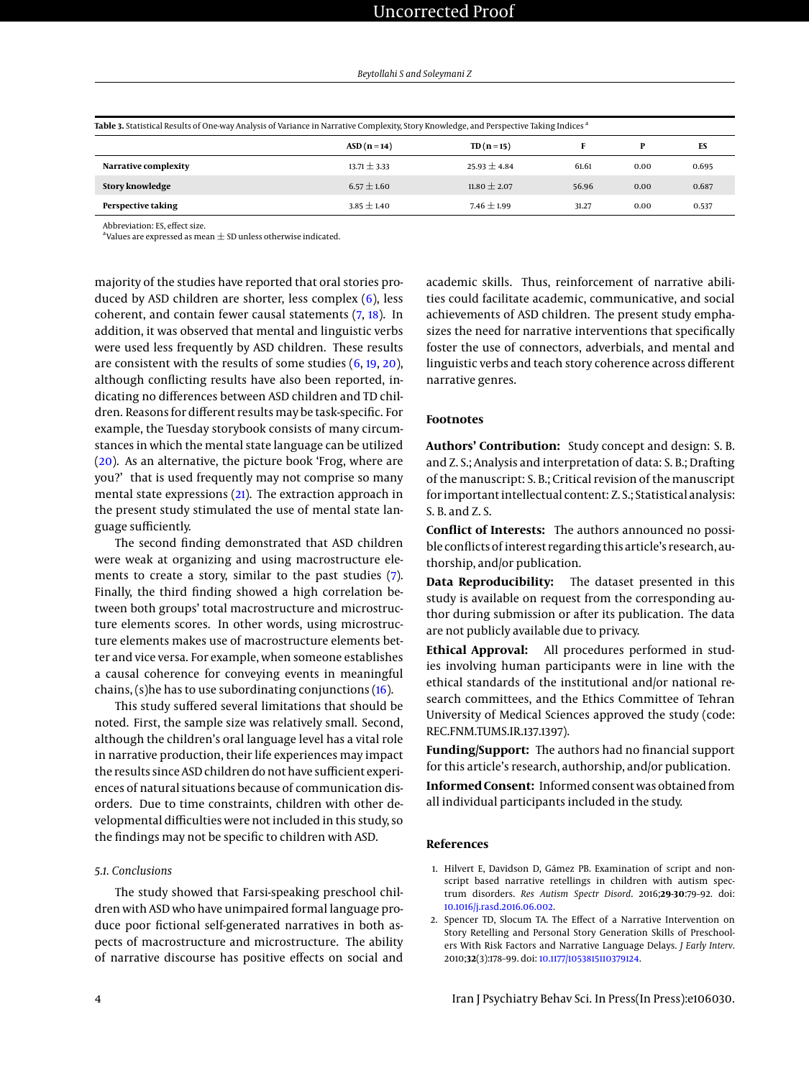<span id="page-3-2"></span>

| Table 3. Statistical Results of One-way Analysis of Variance in Narrative Complexity, Story Knowledge, and Perspective Taking Indices <sup>a</sup> |                  |                  |       |      |       |  |
|----------------------------------------------------------------------------------------------------------------------------------------------------|------------------|------------------|-------|------|-------|--|
|                                                                                                                                                    | $ASD(n=14)$      | $TD(n=15)$       |       |      | ES    |  |
| Narrative complexity                                                                                                                               | $13.71 \pm 3.33$ | $25.93 + 4.84$   | 61.61 | 0.00 | 0.695 |  |
| <b>Story knowledge</b>                                                                                                                             | $6.57 \pm 1.60$  | $11.80 \pm 2.07$ | 56.96 | 0.00 | 0.687 |  |
| Perspective taking                                                                                                                                 | $3.85 \pm 1.40$  | $7.46 \pm 1.99$  | 31.27 | 0.00 | 0.537 |  |

Abbreviation: ES, effect size.

 $^{\rm a}$ Values are expressed as mean  $\pm$  SD unless otherwise indicated.

majority of the studies have reported that oral stories produced by ASD children are shorter, less complex [\(6\)](#page-4-3), less coherent, and contain fewer causal statements [\(7,](#page-4-4) [18\)](#page-4-15). In addition, it was observed that mental and linguistic verbs were used less frequently by ASD children. These results are consistent with the results of some studies [\(6,](#page-4-3) [19,](#page-4-16) [20\)](#page-4-17), although conflicting results have also been reported, indicating no differences between ASD children and TD children. Reasons for different results may be task-specific. For example, the Tuesday storybook consists of many circumstances in which the mental state language can be utilized [\(20\)](#page-4-17). As an alternative, the picture book 'Frog, where are you?' that is used frequently may not comprise so many mental state expressions [\(21\)](#page-4-18). The extraction approach in the present study stimulated the use of mental state language sufficiently.

The second finding demonstrated that ASD children were weak at organizing and using macrostructure elements to create a story, similar to the past studies [\(7\)](#page-4-4). Finally, the third finding showed a high correlation between both groups' total macrostructure and microstructure elements scores. In other words, using microstructure elements makes use of macrostructure elements better and vice versa. For example, when someone establishes a causal coherence for conveying events in meaningful chains,  $(s)$ he has to use subordinating conjunctions  $(16)$ .

This study suffered several limitations that should be noted. First, the sample size was relatively small. Second, although the children's oral language level has a vital role in narrative production, their life experiences may impact the results since ASD children do not have sufficient experiences of natural situations because of communication disorders. Due to time constraints, children with other developmental difficulties were not included in this study, so the findings may not be specific to children with ASD.

## *5.1. Conclusions*

The study showed that Farsi-speaking preschool children with ASD who have unimpaired formal language produce poor fictional self-generated narratives in both aspects of macrostructure and microstructure. The ability of narrative discourse has positive effects on social and

academic skills. Thus, reinforcement of narrative abilities could facilitate academic, communicative, and social achievements of ASD children. The present study emphasizes the need for narrative interventions that specifically foster the use of connectors, adverbials, and mental and linguistic verbs and teach story coherence across different narrative genres.

## **Footnotes**

**Authors' Contribution:** Study concept and design: S. B. and Z. S.; Analysis and interpretation of data: S. B.; Drafting of the manuscript: S. B.; Critical revision of the manuscript for important intellectual content: Z. S.; Statistical analysis: S. B. and Z. S.

**Conflict of Interests:** The authors announced no possible conflicts of interest regarding this article's research, authorship, and/or publication.

**Data Reproducibility:** The dataset presented in this study is available on request from the corresponding author during submission or after its publication. The data are not publicly available due to privacy.

**Ethical Approval:** All procedures performed in studies involving human participants were in line with the ethical standards of the institutional and/or national research committees, and the Ethics Committee of Tehran University of Medical Sciences approved the study (code: REC.FNM.TUMS.IR.137.1397).

**Funding/Support:** The authors had no financial support for this article's research, authorship, and/or publication.

**Informed Consent:** Informed consent was obtained from all individual participants included in the study.

#### **References**

- <span id="page-3-0"></span>1. Hilvert E, Davidson D, Gámez PB. Examination of script and nonscript based narrative retellings in children with autism spectrum disorders. *Res Autism Spectr Disord*. 2016;**29-30**:79–92. doi: [10.1016/j.rasd.2016.06.002.](http://dx.doi.org/10.1016/j.rasd.2016.06.002)
- <span id="page-3-1"></span>2. Spencer TD, Slocum TA. The Effect of a Narrative Intervention on Story Retelling and Personal Story Generation Skills of Preschoolers With Risk Factors and Narrative Language Delays. *J Early Interv*. 2010;**32**(3):178–99. doi: [10.1177/1053815110379124.](http://dx.doi.org/10.1177/1053815110379124)